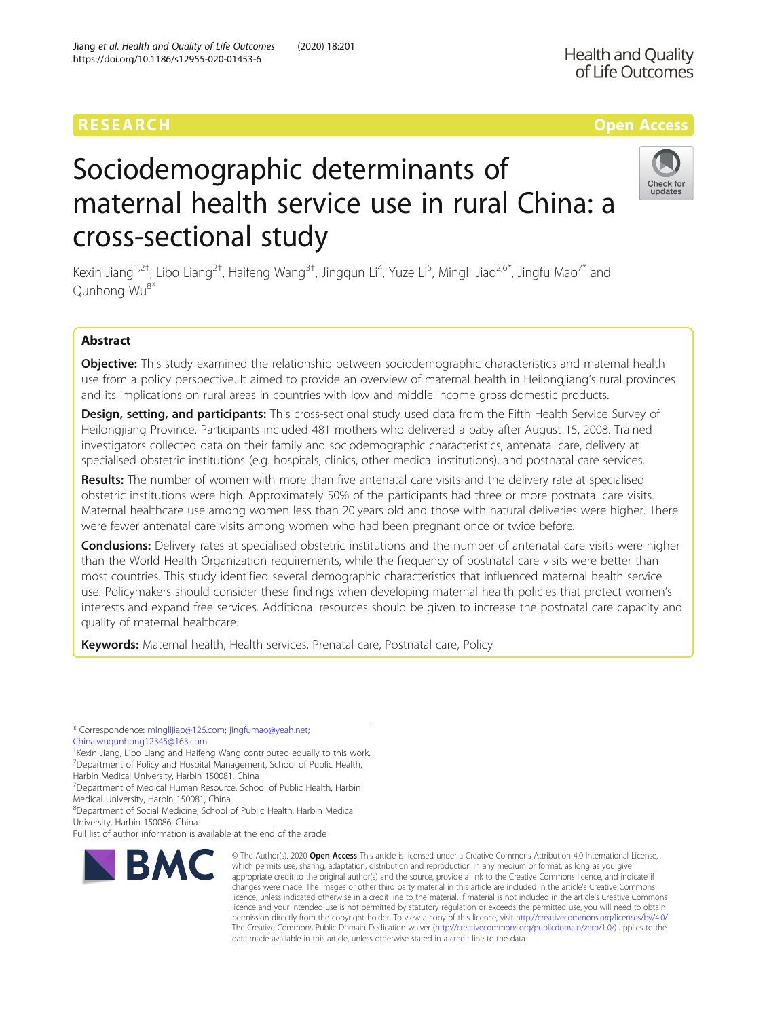# Sociodemographic determinants of maternal health service use in rural China: a cross-sectional study



Kexin Jiang<sup>1,2†</sup>, Libo Liang<sup>2†</sup>, Haifeng Wang<sup>3†</sup>, Jingqun Li<sup>4</sup>, Yuze Li<sup>5</sup>, Mingli Jiao<sup>2,6\*</sup>, Jingfu Mao<sup>7\*</sup> and Qunhong Wu8\*

# Abstract

Objective: This study examined the relationship between sociodemographic characteristics and maternal health use from a policy perspective. It aimed to provide an overview of maternal health in Heilongjiang's rural provinces and its implications on rural areas in countries with low and middle income gross domestic products.

Design, setting, and participants: This cross-sectional study used data from the Fifth Health Service Survey of Heilongjiang Province. Participants included 481 mothers who delivered a baby after August 15, 2008. Trained investigators collected data on their family and sociodemographic characteristics, antenatal care, delivery at specialised obstetric institutions (e.g. hospitals, clinics, other medical institutions), and postnatal care services.

Results: The number of women with more than five antenatal care visits and the delivery rate at specialised obstetric institutions were high. Approximately 50% of the participants had three or more postnatal care visits. Maternal healthcare use among women less than 20 years old and those with natural deliveries were higher. There were fewer antenatal care visits among women who had been pregnant once or twice before.

**Conclusions:** Delivery rates at specialised obstetric institutions and the number of antenatal care visits were higher than the World Health Organization requirements, while the frequency of postnatal care visits were better than most countries. This study identified several demographic characteristics that influenced maternal health service use. Policymakers should consider these findings when developing maternal health policies that protect women's interests and expand free services. Additional resources should be given to increase the postnatal care capacity and quality of maternal healthcare.

Keywords: Maternal health, Health services, Prenatal care, Postnatal care, Policy

\* Correspondence: [minglijiao@126.com;](mailto:minglijiao@126.com) [jingfumao@yeah.net](mailto:jingfumao@yeah.net); [China.wuqunhong12345@163.com](mailto:China.wuqunhong12345@163.com)

† Kexin Jiang, Libo Liang and Haifeng Wang contributed equally to this work. <sup>2</sup> Department of Policy and Hospital Management, School of Public Health,

Harbin Medical University, Harbin 150081, China

<sup>7</sup> Department of Medical Human Resource, School of Public Health, Harbin Medical University, Harbin 150081, China

8 Department of Social Medicine, School of Public Health, Harbin Medical

University, Harbin 150086, China

Full list of author information is available at the end of the article



<sup>©</sup> The Author(s), 2020 **Open Access** This article is licensed under a Creative Commons Attribution 4.0 International License, which permits use, sharing, adaptation, distribution and reproduction in any medium or format, as long as you give appropriate credit to the original author(s) and the source, provide a link to the Creative Commons licence, and indicate if changes were made. The images or other third party material in this article are included in the article's Creative Commons licence, unless indicated otherwise in a credit line to the material. If material is not included in the article's Creative Commons licence and your intended use is not permitted by statutory regulation or exceeds the permitted use, you will need to obtain permission directly from the copyright holder. To view a copy of this licence, visit [http://creativecommons.org/licenses/by/4.0/.](http://creativecommons.org/licenses/by/4.0/) The Creative Commons Public Domain Dedication waiver [\(http://creativecommons.org/publicdomain/zero/1.0/](http://creativecommons.org/publicdomain/zero/1.0/)) applies to the data made available in this article, unless otherwise stated in a credit line to the data.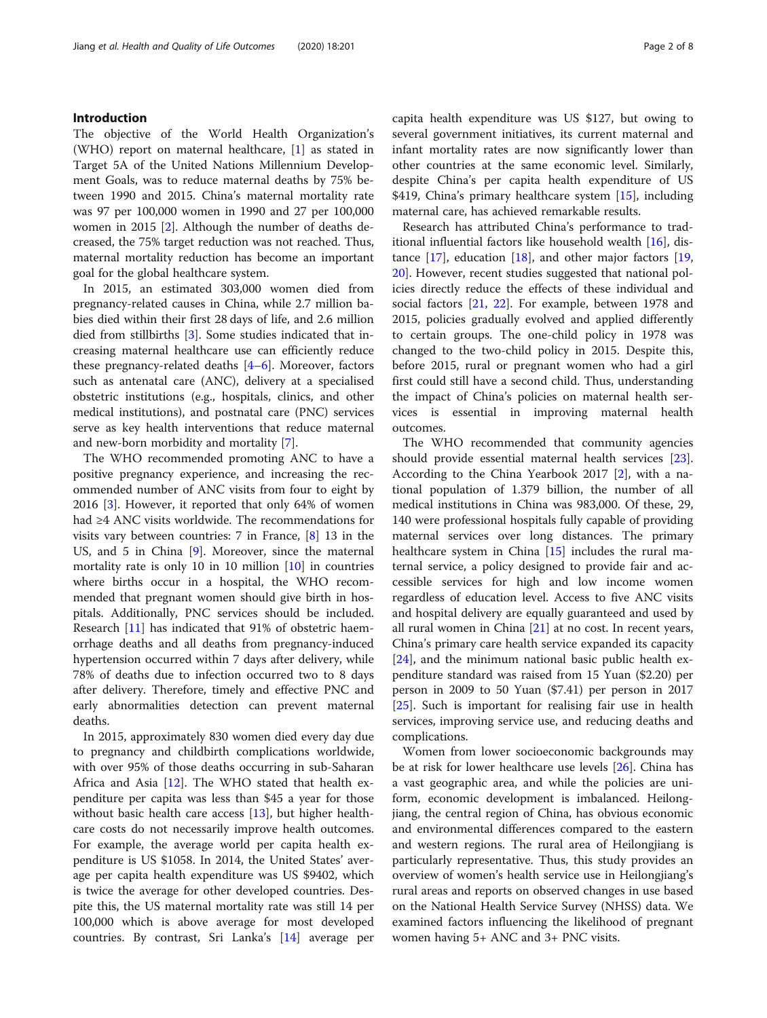# Introduction

The objective of the World Health Organization's (WHO) report on maternal healthcare, [\[1](#page-6-0)] as stated in Target 5A of the United Nations Millennium Development Goals, was to reduce maternal deaths by 75% between 1990 and 2015. China's maternal mortality rate was 97 per 100,000 women in 1990 and 27 per 100,000 women in 2015 [\[2](#page-6-0)]. Although the number of deaths decreased, the 75% target reduction was not reached. Thus, maternal mortality reduction has become an important goal for the global healthcare system.

In 2015, an estimated 303,000 women died from pregnancy-related causes in China, while 2.7 million babies died within their first 28 days of life, and 2.6 million died from stillbirths [\[3](#page-6-0)]. Some studies indicated that increasing maternal healthcare use can efficiently reduce these pregnancy-related deaths  $[4-6]$  $[4-6]$  $[4-6]$ . Moreover, factors such as antenatal care (ANC), delivery at a specialised obstetric institutions (e.g., hospitals, clinics, and other medical institutions), and postnatal care (PNC) services serve as key health interventions that reduce maternal and new-born morbidity and mortality [\[7](#page-6-0)].

The WHO recommended promoting ANC to have a positive pregnancy experience, and increasing the recommended number of ANC visits from four to eight by 2016 [\[3](#page-6-0)]. However, it reported that only 64% of women had ≥4 ANC visits worldwide. The recommendations for visits vary between countries: 7 in France, [\[8](#page-6-0)] 13 in the US, and 5 in China [[9\]](#page-6-0). Moreover, since the maternal mortality rate is only 10 in 10 million [\[10\]](#page-6-0) in countries where births occur in a hospital, the WHO recommended that pregnant women should give birth in hospitals. Additionally, PNC services should be included. Research [[11\]](#page-6-0) has indicated that 91% of obstetric haemorrhage deaths and all deaths from pregnancy-induced hypertension occurred within 7 days after delivery, while 78% of deaths due to infection occurred two to 8 days after delivery. Therefore, timely and effective PNC and early abnormalities detection can prevent maternal deaths.

In 2015, approximately 830 women died every day due to pregnancy and childbirth complications worldwide, with over 95% of those deaths occurring in sub-Saharan Africa and Asia [\[12](#page-6-0)]. The WHO stated that health expenditure per capita was less than \$45 a year for those without basic health care access [\[13](#page-6-0)], but higher healthcare costs do not necessarily improve health outcomes. For example, the average world per capita health expenditure is US \$1058. In 2014, the United States' average per capita health expenditure was US \$9402, which is twice the average for other developed countries. Despite this, the US maternal mortality rate was still 14 per 100,000 which is above average for most developed countries. By contrast, Sri Lanka's [\[14](#page-6-0)] average per capita health expenditure was US \$127, but owing to several government initiatives, its current maternal and infant mortality rates are now significantly lower than other countries at the same economic level. Similarly, despite China's per capita health expenditure of US \$419, China's primary healthcare system [\[15](#page-6-0)], including maternal care, has achieved remarkable results.

Research has attributed China's performance to traditional influential factors like household wealth [\[16\]](#page-6-0), distance  $[17]$  $[17]$ , education  $[18]$ , and other major factors  $[19]$  $[19]$  $[19]$ , [20\]](#page-6-0). However, recent studies suggested that national policies directly reduce the effects of these individual and social factors [[21,](#page-6-0) [22\]](#page-6-0). For example, between 1978 and 2015, policies gradually evolved and applied differently to certain groups. The one-child policy in 1978 was changed to the two-child policy in 2015. Despite this, before 2015, rural or pregnant women who had a girl first could still have a second child. Thus, understanding the impact of China's policies on maternal health services is essential in improving maternal health outcomes.

The WHO recommended that community agencies should provide essential maternal health services [\[23](#page-6-0)]. According to the China Yearbook 2017 [[2\]](#page-6-0), with a national population of 1.379 billion, the number of all medical institutions in China was 983,000. Of these, 29, 140 were professional hospitals fully capable of providing maternal services over long distances. The primary healthcare system in China [[15](#page-6-0)] includes the rural maternal service, a policy designed to provide fair and accessible services for high and low income women regardless of education level. Access to five ANC visits and hospital delivery are equally guaranteed and used by all rural women in China [\[21\]](#page-6-0) at no cost. In recent years, China's primary care health service expanded its capacity [[24\]](#page-6-0), and the minimum national basic public health expenditure standard was raised from 15 Yuan (\$2.20) per person in 2009 to 50 Yuan (\$7.41) per person in 2017 [[25\]](#page-6-0). Such is important for realising fair use in health services, improving service use, and reducing deaths and complications.

Women from lower socioeconomic backgrounds may be at risk for lower healthcare use levels [[26\]](#page-6-0). China has a vast geographic area, and while the policies are uniform, economic development is imbalanced. Heilongjiang, the central region of China, has obvious economic and environmental differences compared to the eastern and western regions. The rural area of Heilongjiang is particularly representative. Thus, this study provides an overview of women's health service use in Heilongjiang's rural areas and reports on observed changes in use based on the National Health Service Survey (NHSS) data. We examined factors influencing the likelihood of pregnant women having 5+ ANC and 3+ PNC visits.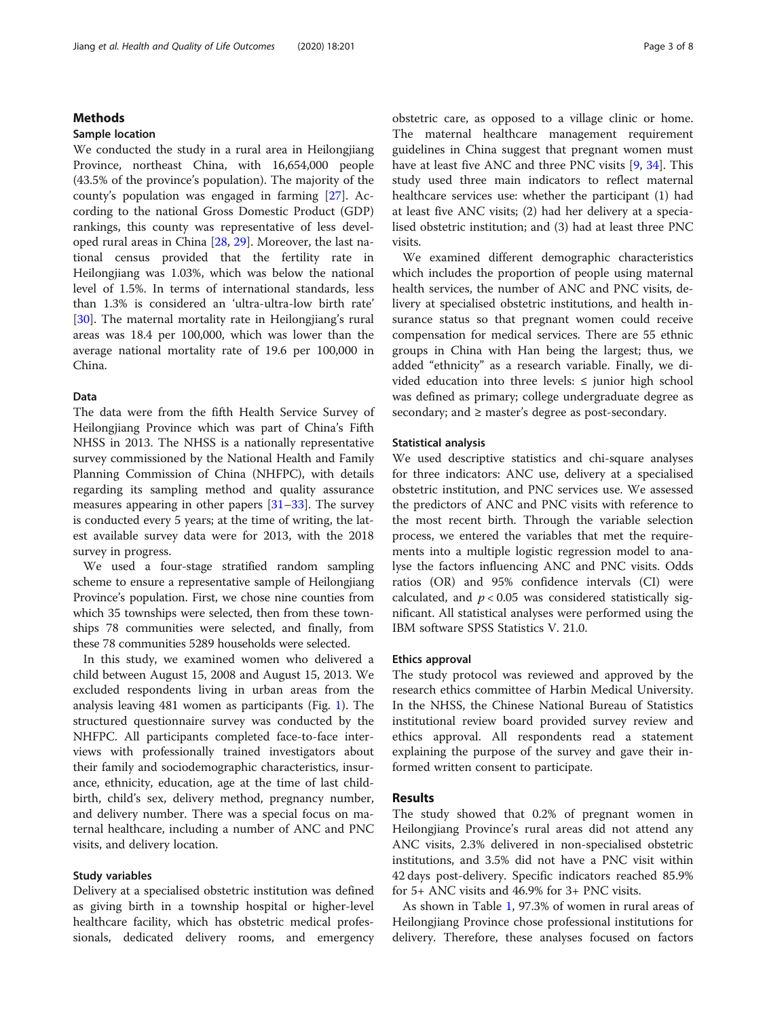# Methods

# Sample location

We conducted the study in a rural area in Heilongjiang Province, northeast China, with 16,654,000 people (43.5% of the province's population). The majority of the county's population was engaged in farming [\[27](#page-6-0)]. According to the national Gross Domestic Product (GDP) rankings, this county was representative of less developed rural areas in China [[28,](#page-6-0) [29](#page-6-0)]. Moreover, the last national census provided that the fertility rate in Heilongjiang was 1.03%, which was below the national level of 1.5%. In terms of international standards, less than 1.3% is considered an 'ultra-ultra-low birth rate' [[30\]](#page-6-0). The maternal mortality rate in Heilongjiang's rural areas was 18.4 per 100,000, which was lower than the average national mortality rate of 19.6 per 100,000 in China.

# Data

The data were from the fifth Health Service Survey of Heilongjiang Province which was part of China's Fifth NHSS in 2013. The NHSS is a nationally representative survey commissioned by the National Health and Family Planning Commission of China (NHFPC), with details regarding its sampling method and quality assurance measures appearing in other papers [[31](#page-6-0)–[33](#page-6-0)]. The survey is conducted every 5 years; at the time of writing, the latest available survey data were for 2013, with the 2018 survey in progress.

We used a four-stage stratified random sampling scheme to ensure a representative sample of Heilongjiang Province's population. First, we chose nine counties from which 35 townships were selected, then from these townships 78 communities were selected, and finally, from these 78 communities 5289 households were selected.

In this study, we examined women who delivered a child between August 15, 2008 and August 15, 2013. We excluded respondents living in urban areas from the analysis leaving 481 women as participants (Fig. [1](#page-3-0)). The structured questionnaire survey was conducted by the NHFPC. All participants completed face-to-face interviews with professionally trained investigators about their family and sociodemographic characteristics, insurance, ethnicity, education, age at the time of last childbirth, child's sex, delivery method, pregnancy number, and delivery number. There was a special focus on maternal healthcare, including a number of ANC and PNC visits, and delivery location.

# Study variables

Delivery at a specialised obstetric institution was defined as giving birth in a township hospital or higher-level healthcare facility, which has obstetric medical professionals, dedicated delivery rooms, and emergency obstetric care, as opposed to a village clinic or home. The maternal healthcare management requirement guidelines in China suggest that pregnant women must have at least five ANC and three PNC visits [[9,](#page-6-0) [34\]](#page-6-0). This study used three main indicators to reflect maternal healthcare services use: whether the participant (1) had at least five ANC visits; (2) had her delivery at a specialised obstetric institution; and (3) had at least three PNC visits.

We examined different demographic characteristics which includes the proportion of people using maternal health services, the number of ANC and PNC visits, delivery at specialised obstetric institutions, and health insurance status so that pregnant women could receive compensation for medical services. There are 55 ethnic groups in China with Han being the largest; thus, we added "ethnicity" as a research variable. Finally, we divided education into three levels: ≤ junior high school was defined as primary; college undergraduate degree as secondary; and ≥ master's degree as post-secondary.

# Statistical analysis

We used descriptive statistics and chi-square analyses for three indicators: ANC use, delivery at a specialised obstetric institution, and PNC services use. We assessed the predictors of ANC and PNC visits with reference to the most recent birth. Through the variable selection process, we entered the variables that met the requirements into a multiple logistic regression model to analyse the factors influencing ANC and PNC visits. Odds ratios (OR) and 95% confidence intervals (CI) were calculated, and  $p < 0.05$  was considered statistically significant. All statistical analyses were performed using the IBM software SPSS Statistics V. 21.0.

# Ethics approval

The study protocol was reviewed and approved by the research ethics committee of Harbin Medical University. In the NHSS, the Chinese National Bureau of Statistics institutional review board provided survey review and ethics approval. All respondents read a statement explaining the purpose of the survey and gave their informed written consent to participate.

# Results

The study showed that 0.2% of pregnant women in Heilongjiang Province's rural areas did not attend any ANC visits, 2.3% delivered in non-specialised obstetric institutions, and 3.5% did not have a PNC visit within 42 days post-delivery. Specific indicators reached 85.9% for 5+ ANC visits and 46.9% for 3+ PNC visits.

As shown in Table [1,](#page-4-0) 97.3% of women in rural areas of Heilongjiang Province chose professional institutions for delivery. Therefore, these analyses focused on factors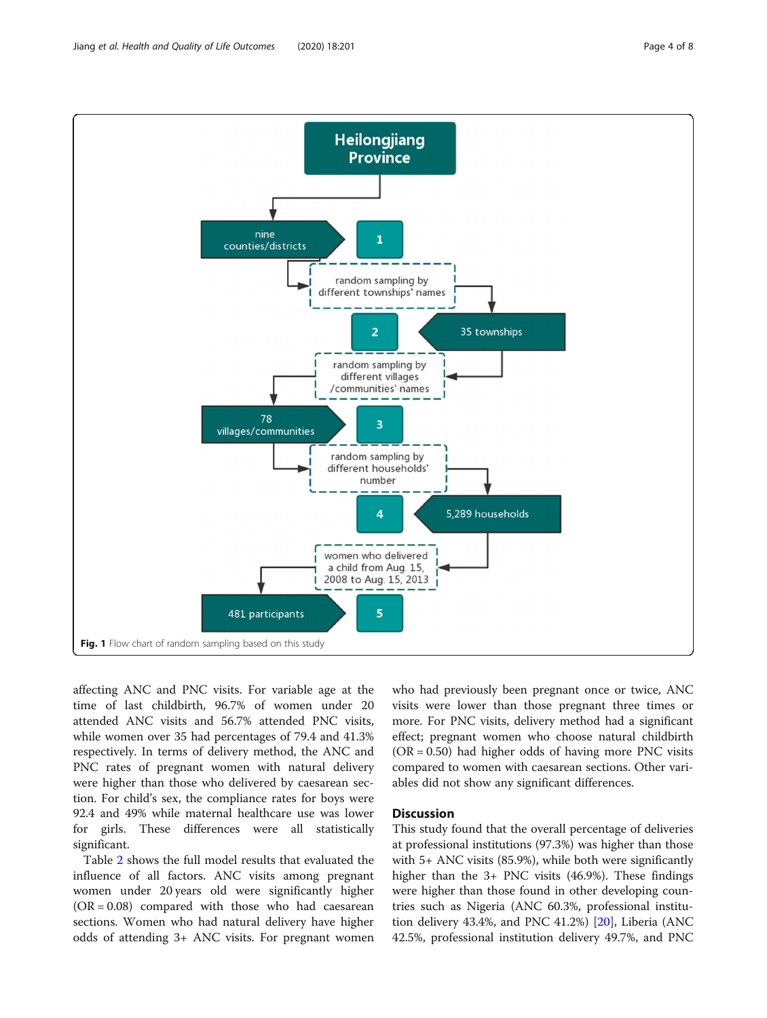<span id="page-3-0"></span>Jiang et al. Health and Quality of Life Outcomes (2020) 18:201 **Page 4 of 8** Page 4 of 8



affecting ANC and PNC visits. For variable age at the time of last childbirth, 96.7% of women under 20 attended ANC visits and 56.7% attended PNC visits, while women over 35 had percentages of 79.4 and 41.3% respectively. In terms of delivery method, the ANC and PNC rates of pregnant women with natural delivery were higher than those who delivered by caesarean section. For child's sex, the compliance rates for boys were 92.4 and 49% while maternal healthcare use was lower for girls. These differences were all statistically significant.

Table [2](#page-4-0) shows the full model results that evaluated the influence of all factors. ANC visits among pregnant women under 20 years old were significantly higher  $(OR = 0.08)$  compared with those who had caesarean sections. Women who had natural delivery have higher odds of attending 3+ ANC visits. For pregnant women

who had previously been pregnant once or twice, ANC visits were lower than those pregnant three times or more. For PNC visits, delivery method had a significant effect; pregnant women who choose natural childbirth  $(OR = 0.50)$  had higher odds of having more PNC visits compared to women with caesarean sections. Other variables did not show any significant differences.

# **Discussion**

This study found that the overall percentage of deliveries at professional institutions (97.3%) was higher than those with 5+ ANC visits (85.9%), while both were significantly higher than the 3+ PNC visits (46.9%). These findings were higher than those found in other developing countries such as Nigeria (ANC 60.3%, professional institution delivery 43.4%, and PNC 41.2%) [\[20\]](#page-6-0), Liberia (ANC 42.5%, professional institution delivery 49.7%, and PNC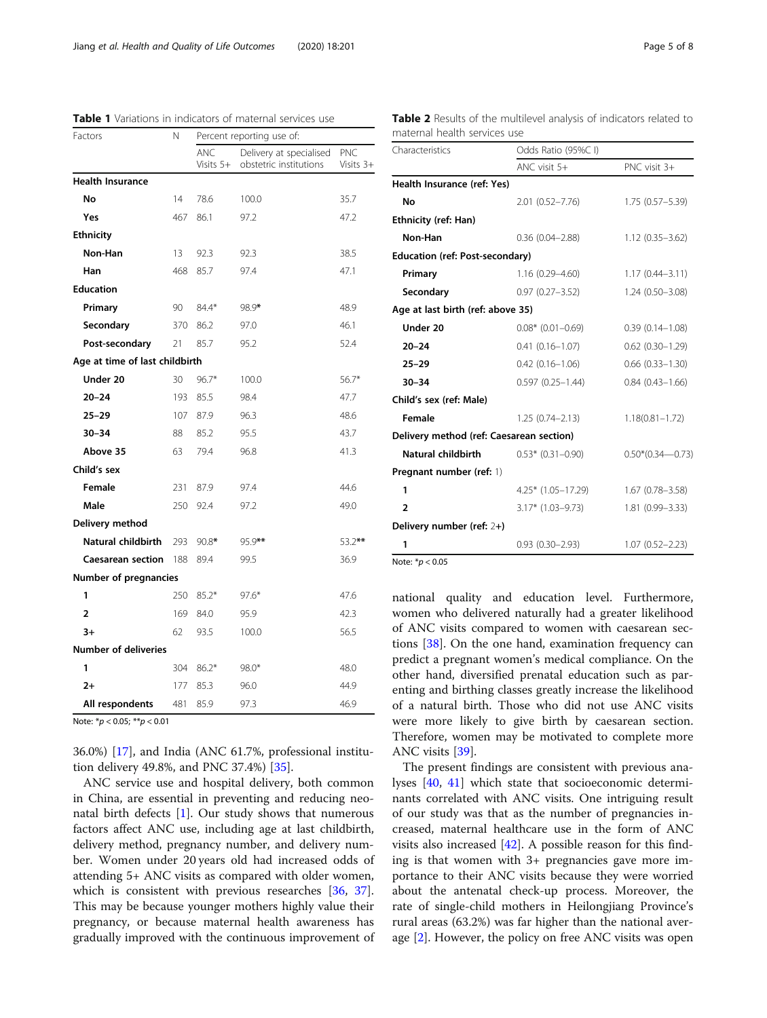| Factors                        | Ν   | Percent reporting use of: |                                                   |                  |
|--------------------------------|-----|---------------------------|---------------------------------------------------|------------------|
|                                |     | ANC<br>Visits 5+          | Delivery at specialised<br>obstetric institutions | PNC<br>Visits 3+ |
| <b>Health Insurance</b>        |     |                           |                                                   |                  |
| No                             | 14  | 78.6                      | 100.0                                             | 35.7             |
| Yes                            | 467 | 86.1                      | 97.2                                              | 47.2             |
| <b>Ethnicity</b>               |     |                           |                                                   |                  |
| Non-Han                        | 13  | 92.3                      | 92.3                                              | 38.5             |
| Han                            | 468 | 85.7                      | 97.4                                              | 47.1             |
| <b>Education</b>               |     |                           |                                                   |                  |
| Primary                        | 90  | 84.4*                     | 98.9*                                             | 48.9             |
| Secondary                      | 370 | 86.2                      | 97.0                                              | 46.1             |
| Post-secondary                 | 21  | 85.7                      | 95.2                                              | 52.4             |
| Age at time of last childbirth |     |                           |                                                   |                  |
| Under 20                       | 30  | $96.7*$                   | 100.0                                             | $56.7*$          |
| $20 - 24$                      | 193 | 85.5                      | 98.4                                              | 47.7             |
| $25 - 29$                      | 107 | 87.9                      | 96.3                                              | 48.6             |
| $30 - 34$                      | 88  | 85.2                      | 95.5                                              | 43.7             |
| Above 35                       | 63  | 79.4                      | 96.8                                              | 41.3             |
| Child's sex                    |     |                           |                                                   |                  |
| Female                         | 231 | 87.9                      | 97.4                                              | 44.6             |
| Male                           | 250 | 92.4                      | 97.2                                              | 49.0             |
| Delivery method                |     |                           |                                                   |                  |
| <b>Natural childbirth</b>      | 293 | 90.8*                     | 95.9**                                            | 53.2**           |
| <b>Caesarean section</b>       | 188 | 89.4                      | 99.5                                              | 36.9             |
| Number of pregnancies          |     |                           |                                                   |                  |
| 1                              | 250 | $85.2*$                   | $97.6*$                                           | 47.6             |
| $\overline{2}$                 | 169 | 84.0                      | 95.9                                              | 42.3             |
| $3+$                           | 62  | 93.5                      | 100.0                                             | 56.5             |
| <b>Number of deliveries</b>    |     |                           |                                                   |                  |
| 1                              | 304 | $86.2*$                   | $98.0*$                                           | 48.0             |
| $2+$                           | 177 | 85.3                      | 96.0                                              | 44.9             |
| All respondents                | 481 | 85.9                      | 97.3                                              | 46.9             |

<span id="page-4-0"></span>Table 1 Variations in indicators of maternal services use

Note: \*p < 0.05; \*\*p < 0.01

36.0%) [\[17](#page-6-0)], and India (ANC 61.7%, professional institution delivery 49.8%, and PNC 37.4%) [[35\]](#page-6-0).

ANC service use and hospital delivery, both common in China, are essential in preventing and reducing neonatal birth defects [[1\]](#page-6-0). Our study shows that numerous factors affect ANC use, including age at last childbirth, delivery method, pregnancy number, and delivery number. Women under 20 years old had increased odds of attending 5+ ANC visits as compared with older women, which is consistent with previous researches [\[36,](#page-6-0) [37](#page-6-0)]. This may be because younger mothers highly value their pregnancy, or because maternal health awareness has gradually improved with the continuous improvement of

Table 2 Results of the multilevel analysis of indicators related to maternal health services use

| Characteristics                          | Odds Ratio (95%CI)   |                        |  |  |
|------------------------------------------|----------------------|------------------------|--|--|
|                                          | ANC visit 5+         | PNC visit 3+           |  |  |
| Health Insurance (ref: Yes)              |                      |                        |  |  |
| No                                       | $2.01(0.52 - 7.76)$  | $1.75(0.57 - 5.39)$    |  |  |
| Ethnicity (ref: Han)                     |                      |                        |  |  |
| Non-Han                                  | $0.36(0.04 - 2.88)$  | $1.12(0.35 - 3.62)$    |  |  |
| <b>Education (ref: Post-secondary)</b>   |                      |                        |  |  |
| Primary                                  | $1.16(0.29 - 4.60)$  | $1.17(0.44 - 3.11)$    |  |  |
| Secondary                                | $0.97(0.27 - 3.52)$  | $1.24(0.50 - 3.08)$    |  |  |
| Age at last birth (ref: above 35)        |                      |                        |  |  |
| Under 20                                 | $0.08*$ (0.01-0.69)  | $0.39(0.14 - 1.08)$    |  |  |
| $20 - 24$                                | $0.41(0.16 - 1.07)$  | $0.62$ $(0.30 - 1.29)$ |  |  |
| $25 - 29$                                | $0.42(0.16 - 1.06)$  | $0.66$ $(0.33 - 1.30)$ |  |  |
| $30 - 34$                                | $0.597(0.25 - 1.44)$ | $0.84(0.43 - 1.66)$    |  |  |
| Child's sex (ref: Male)                  |                      |                        |  |  |
| Female                                   | $1.25(0.74 - 2.13)$  | $1.18(0.81 - 1.72)$    |  |  |
| Delivery method (ref: Caesarean section) |                      |                        |  |  |
| Natural childbirth                       | $0.53*$ (0.31-0.90)  | $0.50*(0.34 - 0.73)$   |  |  |
| Pregnant number (ref: 1)                 |                      |                        |  |  |
| 1                                        | $4.25*$ (1.05-17.29) | $1.67(0.78 - 3.58)$    |  |  |
| $\overline{2}$                           | $3.17*$ (1.03-9.73)  | 1.81 (0.99-3.33)       |  |  |
| Delivery number (ref: 2+)                |                      |                        |  |  |
| 1                                        | $0.93(0.30-2.93)$    | $1.07(0.52 - 2.23)$    |  |  |
| Note: $* p < 0.05$                       |                      |                        |  |  |

national quality and education level. Furthermore, women who delivered naturally had a greater likelihood of ANC visits compared to women with caesarean sections [\[38](#page-6-0)]. On the one hand, examination frequency can predict a pregnant women's medical compliance. On the other hand, diversified prenatal education such as parenting and birthing classes greatly increase the likelihood of a natural birth. Those who did not use ANC visits were more likely to give birth by caesarean section. Therefore, women may be motivated to complete more ANC visits [\[39\]](#page-6-0).

The present findings are consistent with previous analyses [\[40](#page-7-0), [41\]](#page-7-0) which state that socioeconomic determinants correlated with ANC visits. One intriguing result of our study was that as the number of pregnancies increased, maternal healthcare use in the form of ANC visits also increased  $[42]$  $[42]$ . A possible reason for this finding is that women with 3+ pregnancies gave more importance to their ANC visits because they were worried about the antenatal check-up process. Moreover, the rate of single-child mothers in Heilongjiang Province's rural areas (63.2%) was far higher than the national average [\[2](#page-6-0)]. However, the policy on free ANC visits was open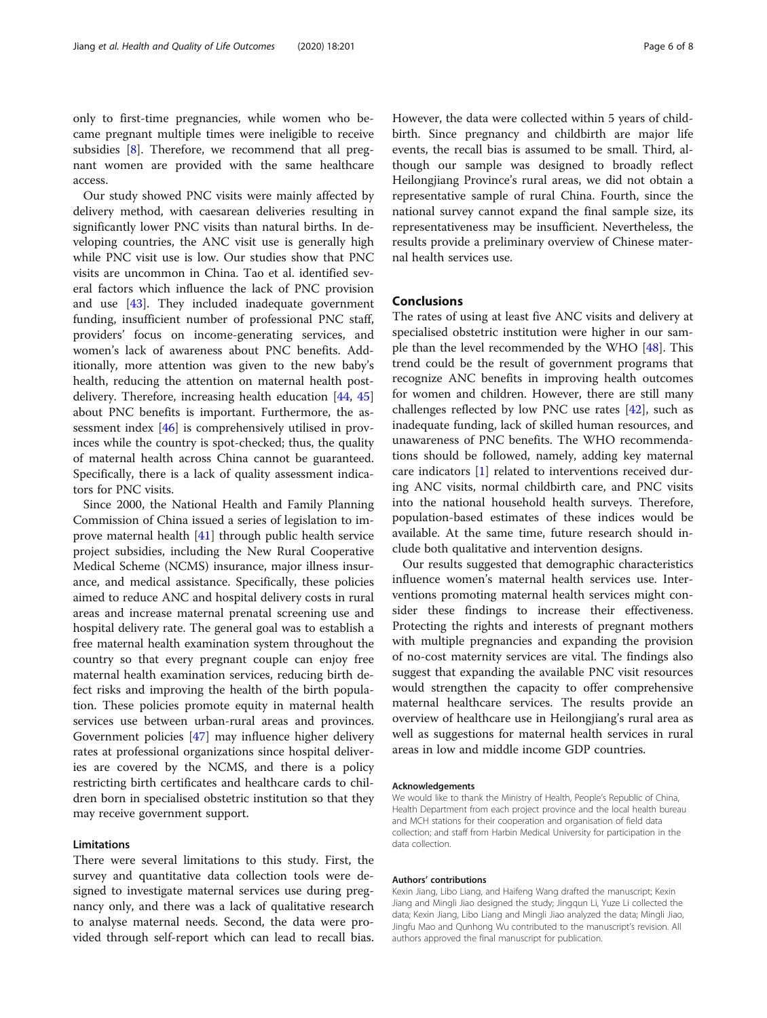only to first-time pregnancies, while women who became pregnant multiple times were ineligible to receive subsidies [\[8](#page-6-0)]. Therefore, we recommend that all pregnant women are provided with the same healthcare access.

Our study showed PNC visits were mainly affected by delivery method, with caesarean deliveries resulting in significantly lower PNC visits than natural births. In developing countries, the ANC visit use is generally high while PNC visit use is low. Our studies show that PNC visits are uncommon in China. Tao et al. identified several factors which influence the lack of PNC provision and use [\[43\]](#page-7-0). They included inadequate government funding, insufficient number of professional PNC staff, providers' focus on income-generating services, and women's lack of awareness about PNC benefits. Additionally, more attention was given to the new baby's health, reducing the attention on maternal health postdelivery. Therefore, increasing health education [[44,](#page-7-0) [45](#page-7-0)] about PNC benefits is important. Furthermore, the assessment index [\[46\]](#page-7-0) is comprehensively utilised in provinces while the country is spot-checked; thus, the quality of maternal health across China cannot be guaranteed. Specifically, there is a lack of quality assessment indicators for PNC visits.

Since 2000, the National Health and Family Planning Commission of China issued a series of legislation to improve maternal health [[41\]](#page-7-0) through public health service project subsidies, including the New Rural Cooperative Medical Scheme (NCMS) insurance, major illness insurance, and medical assistance. Specifically, these policies aimed to reduce ANC and hospital delivery costs in rural areas and increase maternal prenatal screening use and hospital delivery rate. The general goal was to establish a free maternal health examination system throughout the country so that every pregnant couple can enjoy free maternal health examination services, reducing birth defect risks and improving the health of the birth population. These policies promote equity in maternal health services use between urban-rural areas and provinces. Government policies [[47\]](#page-7-0) may influence higher delivery rates at professional organizations since hospital deliveries are covered by the NCMS, and there is a policy restricting birth certificates and healthcare cards to children born in specialised obstetric institution so that they may receive government support.

# Limitations

There were several limitations to this study. First, the survey and quantitative data collection tools were designed to investigate maternal services use during pregnancy only, and there was a lack of qualitative research to analyse maternal needs. Second, the data were provided through self-report which can lead to recall bias. However, the data were collected within 5 years of childbirth. Since pregnancy and childbirth are major life events, the recall bias is assumed to be small. Third, although our sample was designed to broadly reflect Heilongjiang Province's rural areas, we did not obtain a representative sample of rural China. Fourth, since the national survey cannot expand the final sample size, its representativeness may be insufficient. Nevertheless, the results provide a preliminary overview of Chinese maternal health services use.

# Conclusions

The rates of using at least five ANC visits and delivery at specialised obstetric institution were higher in our sample than the level recommended by the WHO  $[48]$  $[48]$ . This trend could be the result of government programs that recognize ANC benefits in improving health outcomes for women and children. However, there are still many challenges reflected by low PNC use rates [[42\]](#page-7-0), such as inadequate funding, lack of skilled human resources, and unawareness of PNC benefits. The WHO recommendations should be followed, namely, adding key maternal care indicators [[1\]](#page-6-0) related to interventions received during ANC visits, normal childbirth care, and PNC visits into the national household health surveys. Therefore, population-based estimates of these indices would be available. At the same time, future research should include both qualitative and intervention designs.

Our results suggested that demographic characteristics influence women's maternal health services use. Interventions promoting maternal health services might consider these findings to increase their effectiveness. Protecting the rights and interests of pregnant mothers with multiple pregnancies and expanding the provision of no-cost maternity services are vital. The findings also suggest that expanding the available PNC visit resources would strengthen the capacity to offer comprehensive maternal healthcare services. The results provide an overview of healthcare use in Heilongjiang's rural area as well as suggestions for maternal health services in rural areas in low and middle income GDP countries.

#### Acknowledgements

We would like to thank the Ministry of Health, People's Republic of China, Health Department from each project province and the local health bureau and MCH stations for their cooperation and organisation of field data collection; and staff from Harbin Medical University for participation in the data collection.

#### Authors' contributions

Kexin Jiang, Libo Liang, and Haifeng Wang drafted the manuscript; Kexin Jiang and Mingli Jiao designed the study; Jingqun Li, Yuze Li collected the data; Kexin Jiang, Libo Liang and Mingli Jiao analyzed the data; Mingli Jiao, Jingfu Mao and Qunhong Wu contributed to the manuscript's revision. All authors approved the final manuscript for publication.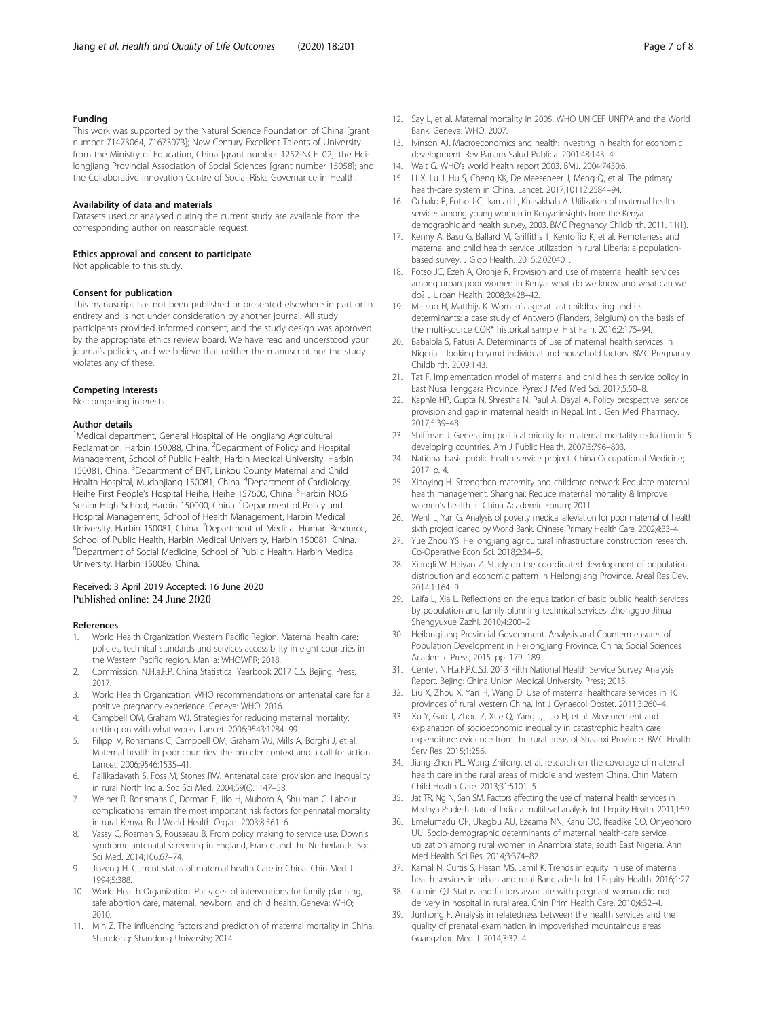# <span id="page-6-0"></span>Funding

This work was supported by the Natural Science Foundation of China [grant number 71473064, 71673073]; New Century Excellent Talents of University from the Ministry of Education, China [grant number 1252-NCET02]; the Heilongjiang Provincial Association of Social Sciences [grant number 15058]; and the Collaborative Innovation Centre of Social Risks Governance in Health.

# Availability of data and materials

Datasets used or analysed during the current study are available from the corresponding author on reasonable request.

#### Ethics approval and consent to participate

Not applicable to this study.

#### Consent for publication

This manuscript has not been published or presented elsewhere in part or in entirety and is not under consideration by another journal. All study participants provided informed consent, and the study design was approved by the appropriate ethics review board. We have read and understood your journal's policies, and we believe that neither the manuscript nor the study violates any of these.

#### Competing interests

No competing interests.

#### Author details

<sup>1</sup>Medical department, General Hospital of Heilongjiang Agricultural Reclamation, Harbin 150088, China. <sup>2</sup>Department of Policy and Hospital Management, School of Public Health, Harbin Medical University, Harbin 150081, China. <sup>3</sup>Department of ENT, Linkou County Maternal and Child Health Hospital, Mudanjiang 150081, China. <sup>4</sup>Department of Cardiology, Heihe First People's Hospital Heihe, Heihe 157600, China. <sup>5</sup>Harbin NO.6 Senior High School, Harbin 150000, China. <sup>6</sup>Department of Policy and Hospital Management, School of Health Management, Harbin Medical University, Harbin 150081, China. <sup>7</sup>Department of Medical Human Resource, School of Public Health, Harbin Medical University, Harbin 150081, China. <sup>8</sup>Department of Social Medicine, School of Public Health, Harbin Medical University, Harbin 150086, China.

# Received: 3 April 2019 Accepted: 16 June 2020 Published online: 24 June 2020

# References

- 1. World Health Organization Western Pacific Region. Maternal health care: policies, technical standards and services accessibility in eight countries in the Western Pacific region. Manila: WHOWPR; 2018.
- 2. Commission, N.H.a.F.P. China Statistical Yearbook 2017 C.S. Bejing: Press; 2017.
- 3. World Health Organization. WHO recommendations on antenatal care for a positive pregnancy experience. Geneva: WHO; 2016.
- 4. Campbell OM, Graham WJ. Strategies for reducing maternal mortality: getting on with what works. Lancet. 2006;9543:1284–99.
- 5. Filippi V, Ronsmans C, Campbell OM, Graham WJ, Mills A, Borghi J, et al. Maternal health in poor countries: the broader context and a call for action. Lancet. 2006;9546:1535–41.
- 6. Pallikadavath S, Foss M, Stones RW. Antenatal care: provision and inequality in rural North India. Soc Sci Med. 2004;59(6):1147–58.
- 7. Weiner R, Ronsmans C, Dorman E, Jilo H, Muhoro A, Shulman C. Labour complications remain the most important risk factors for perinatal mortality in rural Kenya. Bull World Health Organ. 2003;8:561–6.
- Vassy C, Rosman S, Rousseau B. From policy making to service use. Down's syndrome antenatal screening in England, France and the Netherlands. Soc Sci Med. 2014;106:67–74.
- 9. Jiazeng H. Current status of maternal health Care in China. Chin Med J. 1994;5:388.
- 10. World Health Organization. Packages of interventions for family planning, safe abortion care, maternal, newborn, and child health. Geneva: WHO; 2010.
- 11. Min Z. The influencing factors and prediction of maternal mortality in China. Shandong: Shandong University; 2014.
- 12. Say L, et al. Maternal mortality in 2005. WHO UNICEF UNFPA and the World Bank. Geneva: WHO; 2007.
- 13. Ivinson AJ. Macroeconomics and health: investing in health for economic development. Rev Panam Salud Publica. 2001;48:143–4.
- 14. Walt G. WHO's world health report 2003. BMJ. 2004;7430:6.
- 15. Li X, Lu J, Hu S, Cheng KK, De Maeseneer J, Meng Q, et al. The primary health-care system in China. Lancet. 2017;10112:2584–94.
- 16. Ochako R, Fotso J-C, Ikamari L, Khasakhala A. Utilization of maternal health services among young women in Kenya: insights from the Kenya demographic and health survey, 2003. BMC Pregnancy Childbirth. 2011. 11(1).
- 17. Kenny A, Basu G, Ballard M, Griffiths T, Kentoffio K, et al. Remoteness and maternal and child health service utilization in rural Liberia: a populationbased survey. J Glob Health. 2015;2:020401.
- 18. Fotso JC, Ezeh A, Oronje R. Provision and use of maternal health services among urban poor women in Kenya: what do we know and what can we do? J Urban Health. 2008;3:428–42.
- 19. Matsuo H, Matthijs K. Women's age at last childbearing and its determinants: a case study of Antwerp (Flanders, Belgium) on the basis of the multi-source COR\* historical sample. Hist Fam. 2016;2:175–94.
- 20. Babalola S, Fatusi A. Determinants of use of maternal health services in Nigeria—looking beyond individual and household factors. BMC Pregnancy Childbirth. 2009;1:43.
- 21. Tat F. Implementation model of maternal and child health service policy in East Nusa Tenggara Province. Pyrex J Med Med Sci. 2017;5:50–8.
- 22. Kaphle HP, Gupta N, Shrestha N, Paul A, Dayal A. Policy prospective, service provision and gap in maternal health in Nepal. Int J Gen Med Pharmacy. 2017;5:39–48.
- 23. Shiffman J. Generating political priority for maternal mortality reduction in 5 developing countries. Am J Public Health. 2007;5:796–803.
- 24. National basic public health service project. China Occupational Medicine; 2017. p. 4.
- 25. Xiaoying H. Strengthen maternity and childcare network Regulate maternal health management. Shanghai: Reduce maternal mortality & Improve women's health in China Academic Forum; 2011.
- 26. Wenli L, Yan G. Analysis of poverty medical alleviation for poor maternal of health sixth project loaned by World Bank. Chinese Primary Health Care. 2002;4:33-4.
- 27. Yue Zhou YS. Heilongjiang agricultural infrastructure construction research. Co-Operative Econ Sci. 2018;2:34–5.
- 28. Xiangli W, Haiyan Z. Study on the coordinated development of population distribution and economic pattern in Heilongjiang Province. Areal Res Dev. 2014;1:164–9.
- 29. Laifa L, Xia L. Reflections on the equalization of basic public health services by population and family planning technical services. Zhongguo Jihua Shengyuxue Zazhi. 2010;4:200–2.
- 30. Heilongjiang Provincial Government. Analysis and Countermeasures of Population Development in Heilongjiang Province. China: Social Sciences Academic Press; 2015. pp. 179–189.
- 31. Center, N.H.a.F.P.C.S.I. 2013 Fifth National Health Service Survey Analysis Report. Bejing: China Union Medical University Press; 2015.
- 32. Liu X, Zhou X, Yan H, Wang D. Use of maternal healthcare services in 10 provinces of rural western China. Int J Gynaecol Obstet. 2011;3:260–4.
- 33. Xu Y, Gao J, Zhou Z, Xue Q, Yang J, Luo H, et al. Measurement and explanation of socioeconomic inequality in catastrophic health care expenditure: evidence from the rural areas of Shaanxi Province. BMC Health Serv Res. 2015;1:256.
- 34. Jiang Zhen PL. Wang Zhifeng, et al. research on the coverage of maternal health care in the rural areas of middle and western China. Chin Matern Child Health Care. 2013;31:5101–5.
- 35. Jat TR, Ng N, San SM. Factors affecting the use of maternal health services in Madhya Pradesh state of India: a multilevel analysis. Int J Equity Health. 2011;1:59.
- 36. Emelumadu OF, Ukegbu AU, Ezeama NN, Kanu OO, Ifeadike CO, Onyeonoro UU. Socio-demographic determinants of maternal health-care service utilization among rural women in Anambra state, south East Nigeria. Ann Med Health Sci Res. 2014;3:374–82.
- 37. Kamal N, Curtis S, Hasan MS, Jamil K. Trends in equity in use of maternal health services in urban and rural Bangladesh. Int J Equity Health. 2016;1:27.
- 38. Caimin QJ. Status and factors associate with pregnant woman did not delivery in hospital in rural area. Chin Prim Health Care. 2010;4:32–4.
- 39. Junhong F. Analysis in relatedness between the health services and the quality of prenatal examination in impoverished mountainous areas. Guangzhou Med J. 2014;3:32–4.